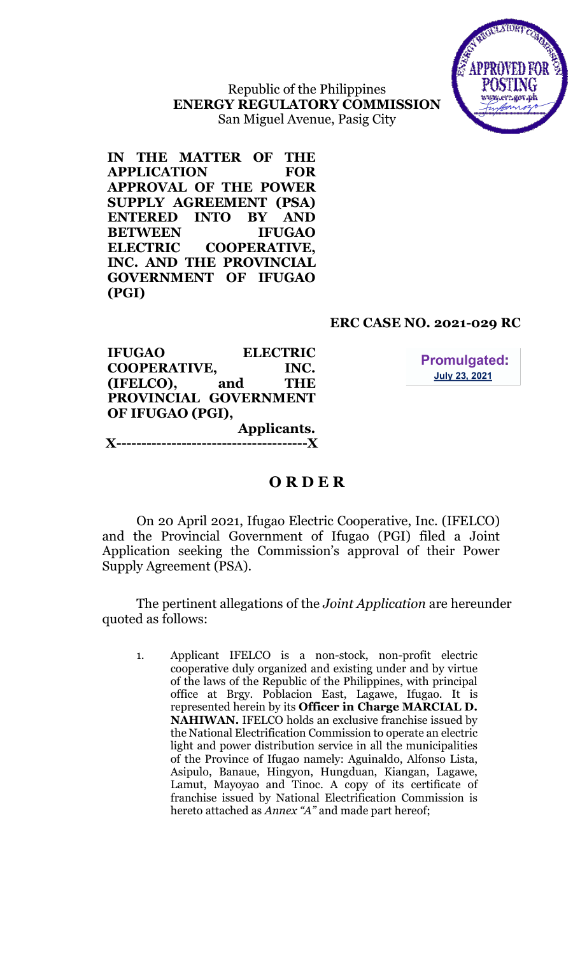

Republic of the Philippines ENERGY REGULATORY COMMISSION San Miguel Avenue, Pasig City

IN THE MATTER OF THE APPLICATION FOR APPROVAL OF THE POWER SUPPLY AGREEMENT (PSA) ENTERED INTO BY AND BETWEEN IFUGAO ELECTRIC COOPERATIVE, INC. AND THE PROVINCIAL GOVERNMENT OF IFUGAO (PGI)

# ERC CASE NO. 2021-029 RC

| <b>IFUGAO</b>         |     | <b>ELECTRIC</b> |  |  |  |  |
|-----------------------|-----|-----------------|--|--|--|--|
| <b>COOPERATIVE,</b>   |     | INC.            |  |  |  |  |
| (IFELCO),             | and | <b>THE</b>      |  |  |  |  |
| PROVINCIAL GOVERNMENT |     |                 |  |  |  |  |
| OF IFUGAO (PGI),      |     |                 |  |  |  |  |
|                       |     | Applicants.     |  |  |  |  |
| $\mathbf{X}$ --       |     |                 |  |  |  |  |

**Promulgated: July 23, 2021** 

# O R D E R

On 20 April 2021, Ifugao Electric Cooperative, Inc. (IFELCO) and the Provincial Government of Ifugao (PGI) filed a Joint Application seeking the Commission's approval of their Power Supply Agreement (PSA).

The pertinent allegations of the Joint Application are hereunder quoted as follows:

1. Applicant IFELCO is a non-stock, non-profit electric cooperative duly organized and existing under and by virtue of the laws of the Republic of the Philippines, with principal office at Brgy. Poblacion East, Lagawe, Ifugao. It is represented herein by its Officer in Charge MARCIAL D. NAHIWAN. IFELCO holds an exclusive franchise issued by the National Electrification Commission to operate an electric light and power distribution service in all the municipalities of the Province of Ifugao namely: Aguinaldo, Alfonso Lista, Asipulo, Banaue, Hingyon, Hungduan, Kiangan, Lagawe, Lamut, Mayoyao and Tinoc. A copy of its certificate of franchise issued by National Electrification Commission is hereto attached as Annex "A" and made part hereof;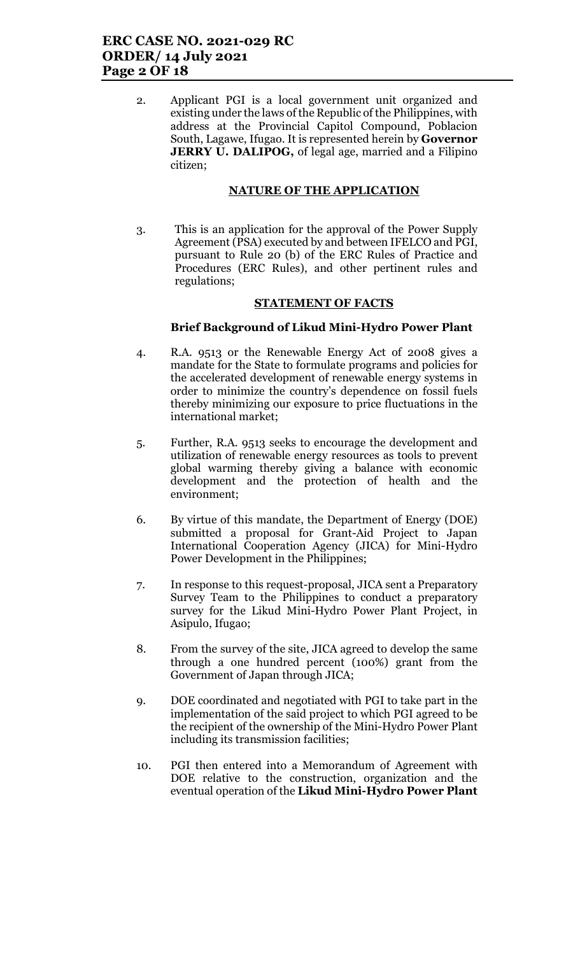2. Applicant PGI is a local government unit organized and existing under the laws of the Republic of the Philippines, with address at the Provincial Capitol Compound, Poblacion South, Lagawe, Ifugao. It is represented herein by Governor **JERRY U. DALIPOG,** of legal age, married and a Filipino citizen;

# NATURE OF THE APPLICATION

3. This is an application for the approval of the Power Supply Agreement (PSA) executed by and between IFELCO and PGI, pursuant to Rule 20 (b) of the ERC Rules of Practice and Procedures (ERC Rules), and other pertinent rules and regulations;

## STATEMENT OF FACTS

## Brief Background of Likud Mini-Hydro Power Plant

- 4. R.A. 9513 or the Renewable Energy Act of 2008 gives a mandate for the State to formulate programs and policies for the accelerated development of renewable energy systems in order to minimize the country's dependence on fossil fuels thereby minimizing our exposure to price fluctuations in the international market;
- 5. Further, R.A. 9513 seeks to encourage the development and utilization of renewable energy resources as tools to prevent global warming thereby giving a balance with economic development and the protection of health and the environment;
- 6. By virtue of this mandate, the Department of Energy (DOE) submitted a proposal for Grant-Aid Project to Japan International Cooperation Agency (JICA) for Mini-Hydro Power Development in the Philippines;
- 7. In response to this request-proposal, JICA sent a Preparatory Survey Team to the Philippines to conduct a preparatory survey for the Likud Mini-Hydro Power Plant Project, in Asipulo, Ifugao;
- 8. From the survey of the site, JICA agreed to develop the same through a one hundred percent (100%) grant from the Government of Japan through JICA;
- 9. DOE coordinated and negotiated with PGI to take part in the implementation of the said project to which PGI agreed to be the recipient of the ownership of the Mini-Hydro Power Plant including its transmission facilities;
- 10. PGI then entered into a Memorandum of Agreement with DOE relative to the construction, organization and the eventual operation of the Likud Mini-Hydro Power Plant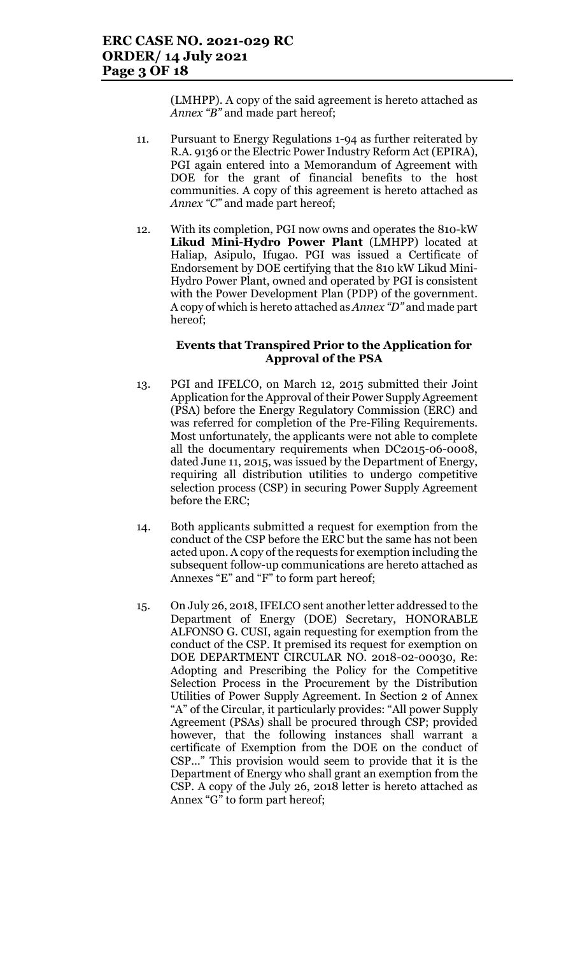(LMHPP). A copy of the said agreement is hereto attached as Annex "B" and made part hereof;

- 11. Pursuant to Energy Regulations 1-94 as further reiterated by R.A. 9136 or the Electric Power Industry Reform Act (EPIRA), PGI again entered into a Memorandum of Agreement with DOE for the grant of financial benefits to the host communities. A copy of this agreement is hereto attached as Annex "C" and made part hereof;
- 12. With its completion, PGI now owns and operates the 810-kW Likud Mini-Hydro Power Plant (LMHPP) located at Haliap, Asipulo, Ifugao. PGI was issued a Certificate of Endorsement by DOE certifying that the 810 kW Likud Mini-Hydro Power Plant, owned and operated by PGI is consistent with the Power Development Plan (PDP) of the government. A copy of which is hereto attached as Annex "D" and made part hereof;

### Events that Transpired Prior to the Application for Approval of the PSA

- 13. PGI and IFELCO, on March 12, 2015 submitted their Joint Application for the Approval of their Power Supply Agreement (PSA) before the Energy Regulatory Commission (ERC) and was referred for completion of the Pre-Filing Requirements. Most unfortunately, the applicants were not able to complete all the documentary requirements when DC2015-06-0008, dated June 11, 2015, was issued by the Department of Energy, requiring all distribution utilities to undergo competitive selection process (CSP) in securing Power Supply Agreement before the ERC;
- 14. Both applicants submitted a request for exemption from the conduct of the CSP before the ERC but the same has not been acted upon. A copy of the requests for exemption including the subsequent follow-up communications are hereto attached as Annexes "E" and "F" to form part hereof;
- 15. On July 26, 2018, IFELCO sent another letter addressed to the Department of Energy (DOE) Secretary, HONORABLE ALFONSO G. CUSI, again requesting for exemption from the conduct of the CSP. It premised its request for exemption on DOE DEPARTMENT CIRCULAR NO. 2018-02-00030, Re: Adopting and Prescribing the Policy for the Competitive Selection Process in the Procurement by the Distribution Utilities of Power Supply Agreement. In Section 2 of Annex "A" of the Circular, it particularly provides: "All power Supply Agreement (PSAs) shall be procured through CSP; provided however, that the following instances shall warrant a certificate of Exemption from the DOE on the conduct of CSP…" This provision would seem to provide that it is the Department of Energy who shall grant an exemption from the CSP. A copy of the July 26, 2018 letter is hereto attached as Annex "G" to form part hereof;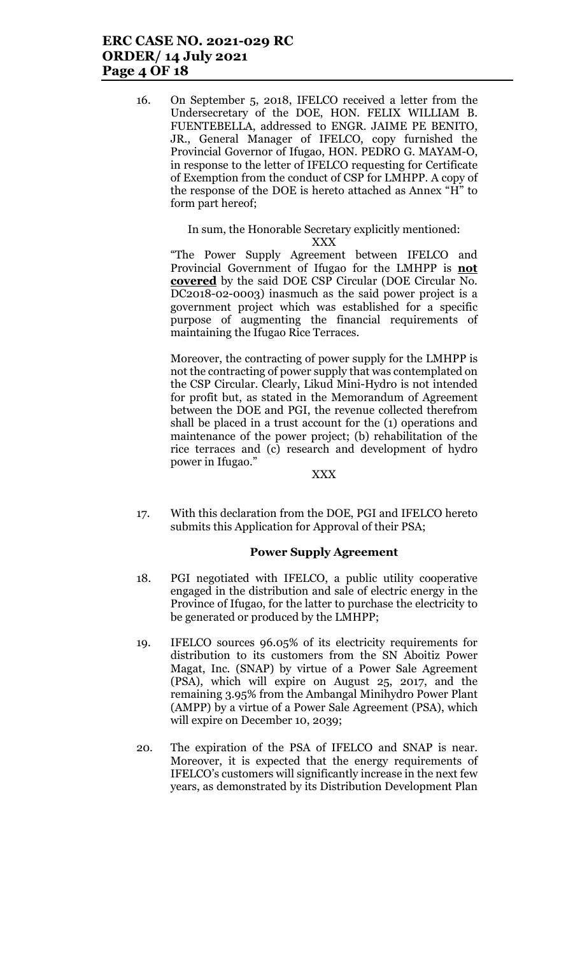# ERC CASE NO. 2021-029 RC ORDER/ 14 July 2021 Page 4 OF 18

16. On September 5, 2018, IFELCO received a letter from the Undersecretary of the DOE, HON. FELIX WILLIAM B. FUENTEBELLA, addressed to ENGR. JAIME PE BENITO, JR., General Manager of IFELCO, copy furnished the Provincial Governor of Ifugao, HON. PEDRO G. MAYAM-O, in response to the letter of IFELCO requesting for Certificate of Exemption from the conduct of CSP for LMHPP. A copy of the response of the DOE is hereto attached as Annex "H" to form part hereof;

# In sum, the Honorable Secretary explicitly mentioned:

XXX

"The Power Supply Agreement between IFELCO and Provincial Government of Ifugao for the LMHPP is not covered by the said DOE CSP Circular (DOE Circular No. DC2018-02-0003) inasmuch as the said power project is a government project which was established for a specific purpose of augmenting the financial requirements of maintaining the Ifugao Rice Terraces.

Moreover, the contracting of power supply for the LMHPP is not the contracting of power supply that was contemplated on the CSP Circular. Clearly, Likud Mini-Hydro is not intended for profit but, as stated in the Memorandum of Agreement between the DOE and PGI, the revenue collected therefrom shall be placed in a trust account for the (1) operations and maintenance of the power project; (b) rehabilitation of the rice terraces and (c) research and development of hydro power in Ifugao."

#### XXX

17. With this declaration from the DOE, PGI and IFELCO hereto submits this Application for Approval of their PSA;

#### Power Supply Agreement

- 18. PGI negotiated with IFELCO, a public utility cooperative engaged in the distribution and sale of electric energy in the Province of Ifugao, for the latter to purchase the electricity to be generated or produced by the LMHPP;
- 19. IFELCO sources 96.05% of its electricity requirements for distribution to its customers from the SN Aboitiz Power Magat, Inc. (SNAP) by virtue of a Power Sale Agreement (PSA), which will expire on August 25, 2017, and the remaining 3.95% from the Ambangal Minihydro Power Plant (AMPP) by a virtue of a Power Sale Agreement (PSA), which will expire on December 10, 2039;
- 20. The expiration of the PSA of IFELCO and SNAP is near. Moreover, it is expected that the energy requirements of IFELCO's customers will significantly increase in the next few years, as demonstrated by its Distribution Development Plan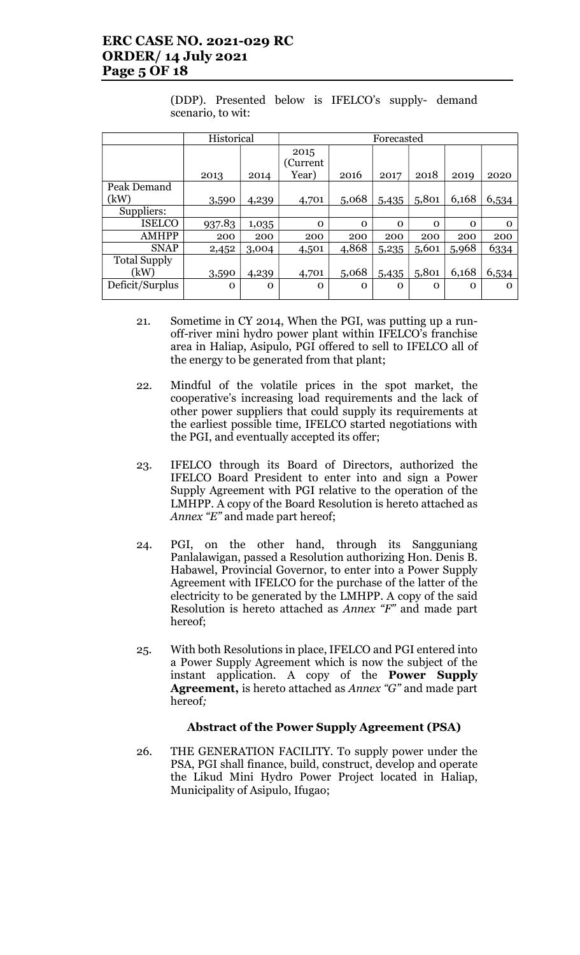# ERC CASE NO. 2021-029 RC ORDER/ 14 July 2021 Page 5 OF 18

(DDP). Presented below is IFELCO's supply- demand scenario, to wit:

|                     | Historical |             | Forecasted                 |          |          |          |          |          |
|---------------------|------------|-------------|----------------------------|----------|----------|----------|----------|----------|
|                     | 2013       | 2014        | 2015<br>(Current)<br>Year) | 2016     | 2017     | 2018     | 2019     | 2020     |
| Peak Demand         |            |             |                            |          |          |          |          |          |
| (kW)                | 3,590      | 4,239       | 4,701                      | 5,068    | 5,435    | 5,801    | 6,168    | 6,534    |
| Suppliers:          |            |             |                            |          |          |          |          |          |
| <b>ISELCO</b>       | 937.83     | 1,035       | $\Omega$                   | $\Omega$ | $\Omega$ | $\Omega$ | $\Omega$ | $\Omega$ |
| <b>AMHPP</b>        | 200        | 200         | 200                        | 200      | 200      | 200      | 200      | 200      |
| <b>SNAP</b>         | 2,452      | 3,004       | 4,501                      | 4,868    | 5,235    | 5,601    | 5,968    | 6334     |
| <b>Total Supply</b> |            |             |                            |          |          |          |          |          |
| (kW)                | 3,590      | 4,239       | 4,701                      | 5,068    | 5,435    | 5,801    | 6,168    | 6,534    |
| Deficit/Surplus     | O          | $\mathbf 0$ | $\mathbf 0$                | $\Omega$ | 0        | 0        | $\Omega$ | Ω        |

- 21. Sometime in CY 2014, When the PGI, was putting up a runoff-river mini hydro power plant within IFELCO's franchise area in Haliap, Asipulo, PGI offered to sell to IFELCO all of the energy to be generated from that plant;
- 22. Mindful of the volatile prices in the spot market, the cooperative's increasing load requirements and the lack of other power suppliers that could supply its requirements at the earliest possible time, IFELCO started negotiations with the PGI, and eventually accepted its offer;
- 23. IFELCO through its Board of Directors, authorized the IFELCO Board President to enter into and sign a Power Supply Agreement with PGI relative to the operation of the LMHPP. A copy of the Board Resolution is hereto attached as Annex "E" and made part hereof;
- 24. PGI, on the other hand, through its Sangguniang Panlalawigan, passed a Resolution authorizing Hon. Denis B. Habawel, Provincial Governor, to enter into a Power Supply Agreement with IFELCO for the purchase of the latter of the electricity to be generated by the LMHPP. A copy of the said Resolution is hereto attached as Annex "F" and made part hereof;
- 25. With both Resolutions in place, IFELCO and PGI entered into a Power Supply Agreement which is now the subject of the instant application. A copy of the Power Supply Agreement, is hereto attached as Annex "G" and made part hereof;

### Abstract of the Power Supply Agreement (PSA)

26. THE GENERATION FACILITY. To supply power under the PSA, PGI shall finance, build, construct, develop and operate the Likud Mini Hydro Power Project located in Haliap, Municipality of Asipulo, Ifugao;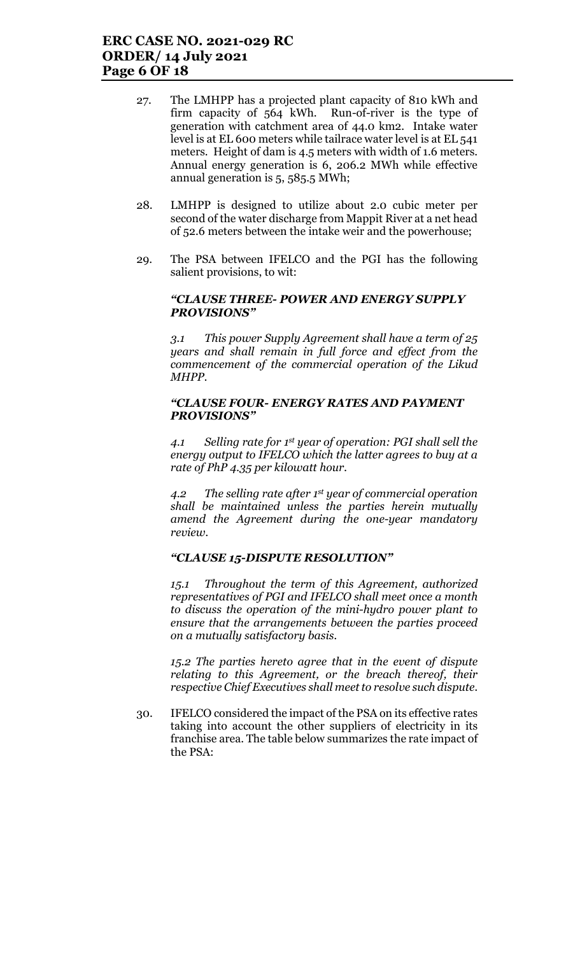- 27. The LMHPP has a projected plant capacity of 810 kWh and firm capacity of 564 kWh. Run-of-river is the type of generation with catchment area of 44.0 km2. Intake water level is at EL 600 meters while tailrace water level is at EL 541 meters. Height of dam is 4.5 meters with width of 1.6 meters. Annual energy generation is 6, 206.2 MWh while effective annual generation is 5, 585.5 MWh;
- 28. LMHPP is designed to utilize about 2.0 cubic meter per second of the water discharge from Mappit River at a net head of 52.6 meters between the intake weir and the powerhouse;
- 29. The PSA between IFELCO and the PGI has the following salient provisions, to wit:

### "CLAUSE THREE- POWER AND ENERGY SUPPLY PROVISIONS"

3.1 This power Supply Agreement shall have a term of 25 years and shall remain in full force and effect from the commencement of the commercial operation of the Likud MHPP.

### "CLAUSE FOUR- ENERGY RATES AND PAYMENT PROVISIONS"

4.1 Selling rate for 1st year of operation: PGI shall sell the energy output to IFELCO which the latter agrees to buy at a rate of PhP 4.35 per kilowatt hour.

4.2 The selling rate after  $1<sup>st</sup>$  year of commercial operation shall be maintained unless the parties herein mutually amend the Agreement during the one-year mandatory review.

### "CLAUSE 15-DISPUTE RESOLUTION"

15.1 Throughout the term of this Agreement, authorized representatives of PGI and IFELCO shall meet once a month to discuss the operation of the mini-hydro power plant to ensure that the arrangements between the parties proceed on a mutually satisfactory basis.

15.2 The parties hereto agree that in the event of dispute relating to this Agreement, or the breach thereof, their respective Chief Executives shall meet to resolve such dispute.

30. IFELCO considered the impact of the PSA on its effective rates taking into account the other suppliers of electricity in its franchise area. The table below summarizes the rate impact of the PSA: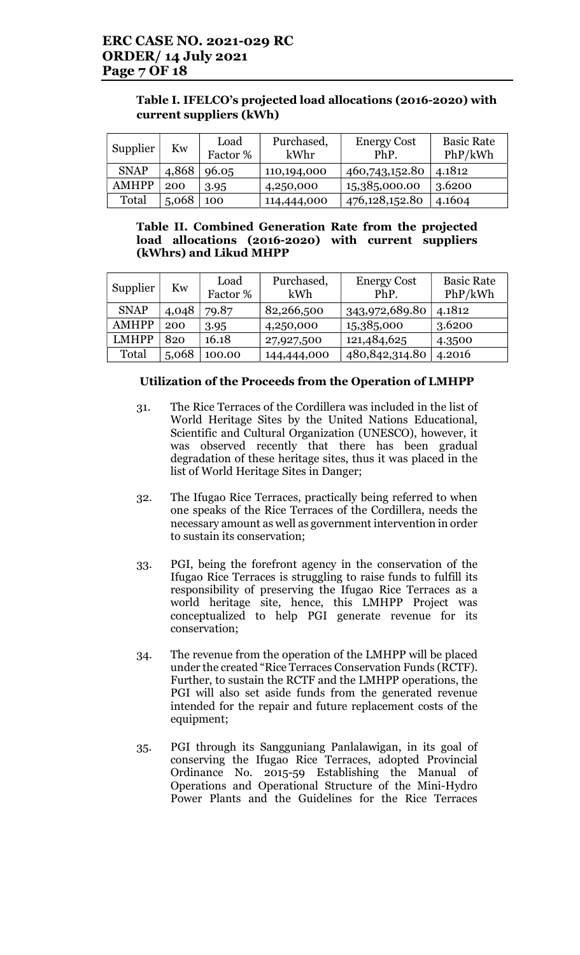| Table I. IFELCO's projected load allocations (2016-2020) with |
|---------------------------------------------------------------|
| current suppliers (kWh)                                       |

| Supplier     | Kw    | Load<br>Factor % | Purchased,<br>kWhr | <b>Energy Cost</b><br>PhP. | <b>Basic Rate</b><br>PhP/kWh |
|--------------|-------|------------------|--------------------|----------------------------|------------------------------|
| <b>SNAP</b>  | 4,868 | 96.05            | 110,194,000        | 460,743,152.80             | 4.1812                       |
| <b>AMHPP</b> | 200   | 3.95             | 4,250,000          | 15,385,000.00              | 3.6200                       |
| Total        | 5,068 | 100              | 114,444,000        | 476,128,152.80             | 4.1604                       |

## Table II. Combined Generation Rate from the projected load allocations (2016-2020) with current suppliers (kWhrs) and Likud MHPP

| Supplier     | Kw    | Load<br>Factor % | Purchased,<br>kWh | <b>Energy Cost</b><br>PhP. | <b>Basic Rate</b><br>PhP/kWh |
|--------------|-------|------------------|-------------------|----------------------------|------------------------------|
| <b>SNAP</b>  | 4,048 | 79.87            | 82,266,500        | 343,972,689.80             | 4.1812                       |
| <b>AMHPP</b> | 200   | 3.95             | 4,250,000         | 15,385,000                 | 3.6200                       |
| <b>LMHPP</b> | 820   | 16.18            | 27,927,500        | 121,484,625                | 4.3500                       |
| Total        | 5,068 | 100.00           | 144,444,000       | 480, 842, 314. 80          | 4.2016                       |

## Utilization of the Proceeds from the Operation of LMHPP

- 31. The Rice Terraces of the Cordillera was included in the list of World Heritage Sites by the United Nations Educational, Scientific and Cultural Organization (UNESCO), however, it was observed recently that there has been gradual degradation of these heritage sites, thus it was placed in the list of World Heritage Sites in Danger;
- 32. The Ifugao Rice Terraces, practically being referred to when one speaks of the Rice Terraces of the Cordillera, needs the necessary amount as well as government intervention in order to sustain its conservation;
- 33. PGI, being the forefront agency in the conservation of the Ifugao Rice Terraces is struggling to raise funds to fulfill its responsibility of preserving the Ifugao Rice Terraces as a world heritage site, hence, this LMHPP Project was conceptualized to help PGI generate revenue for its conservation;
- 34. The revenue from the operation of the LMHPP will be placed under the created "Rice Terraces Conservation Funds (RCTF). Further, to sustain the RCTF and the LMHPP operations, the PGI will also set aside funds from the generated revenue intended for the repair and future replacement costs of the equipment;
- 35. PGI through its Sangguniang Panlalawigan, in its goal of conserving the Ifugao Rice Terraces, adopted Provincial Ordinance No. 2015-59 Establishing the Manual of Operations and Operational Structure of the Mini-Hydro Power Plants and the Guidelines for the Rice Terraces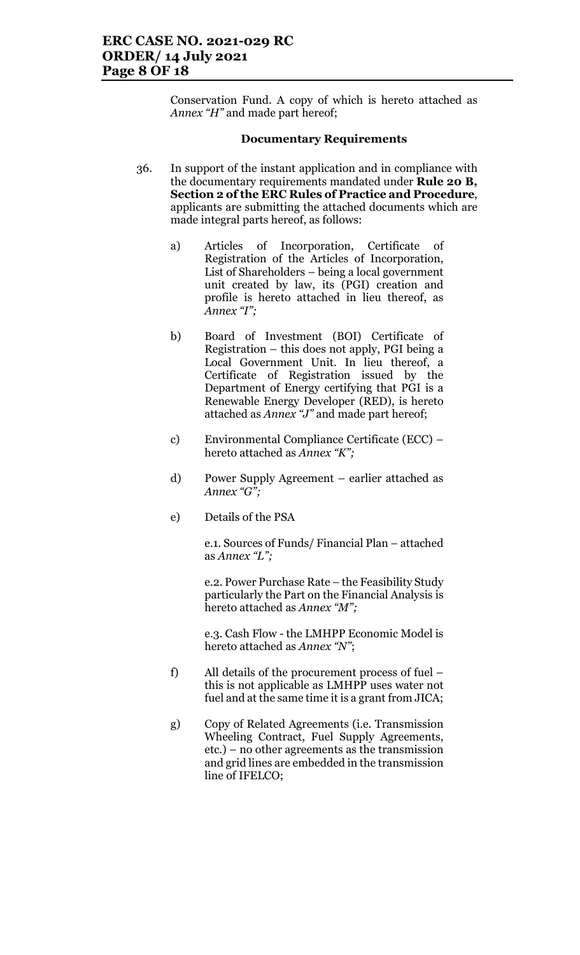Conservation Fund. A copy of which is hereto attached as Annex "H" and made part hereof;

#### Documentary Requirements

- 36. In support of the instant application and in compliance with the documentary requirements mandated under Rule 20 B, Section 2 of the ERC Rules of Practice and Procedure, applicants are submitting the attached documents which are made integral parts hereof, as follows:
	- a) Articles of Incorporation, Certificate of Registration of the Articles of Incorporation, List of Shareholders – being a local government unit created by law, its (PGI) creation and profile is hereto attached in lieu thereof, as Annex "I";
	- b) Board of Investment (BOI) Certificate of Registration – this does not apply, PGI being a Local Government Unit. In lieu thereof, a Certificate of Registration issued by the Department of Energy certifying that PGI is a Renewable Energy Developer (RED), is hereto attached as Annex "J" and made part hereof;
	- c) Environmental Compliance Certificate (ECC) hereto attached as Annex "K";
	- d) Power Supply Agreement earlier attached as Annex " $G^{\overline{r}}$ ;
	- e) Details of the PSA

e.1. Sources of Funds/ Financial Plan – attached as Annex "L";

e.2. Power Purchase Rate – the Feasibility Study particularly the Part on the Financial Analysis is hereto attached as Annex "M";

e.3. Cash Flow - the LMHPP Economic Model is hereto attached as Annex "N";

- f) All details of the procurement process of fuel this is not applicable as LMHPP uses water not fuel and at the same time it is a grant from JICA;
- g) Copy of Related Agreements (i.e. Transmission Wheeling Contract, Fuel Supply Agreements, etc.) – no other agreements as the transmission and grid lines are embedded in the transmission line of IFELCO;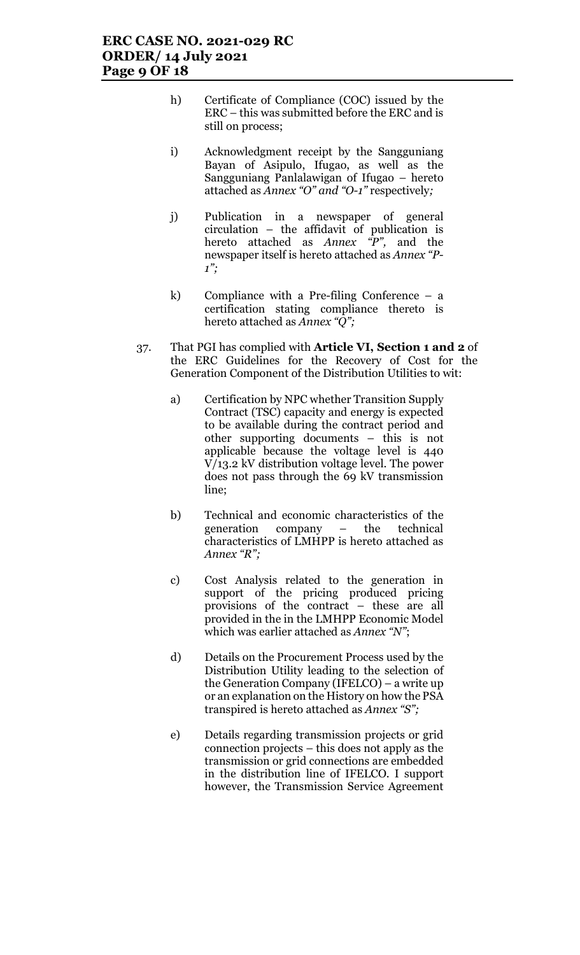- h) Certificate of Compliance (COC) issued by the ERC – this was submitted before the ERC and is still on process;
- i) Acknowledgment receipt by the Sangguniang Bayan of Asipulo, Ifugao, as well as the Sangguniang Panlalawigan of Ifugao – hereto attached as Annex "O" and "O-1" respectively;
- j) Publication in a newspaper of general circulation – the affidavit of publication is hereto attached as Annex "P", and the newspaper itself is hereto attached as Annex "P- $1$ ";
- k) Compliance with a Pre-filing Conference a certification stating compliance thereto is hereto attached as Annex "Q";
- 37. That PGI has complied with Article VI, Section 1 and 2 of the ERC Guidelines for the Recovery of Cost for the Generation Component of the Distribution Utilities to wit:
	- a) Certification by NPC whether Transition Supply Contract (TSC) capacity and energy is expected to be available during the contract period and other supporting documents – this is not applicable because the voltage level is 440 V/13.2 kV distribution voltage level. The power does not pass through the 69 kV transmission line;
	- b) Technical and economic characteristics of the generation company – the technical characteristics of LMHPP is hereto attached as Annex "R";
	- c) Cost Analysis related to the generation in support of the pricing produced pricing provisions of the contract – these are all provided in the in the LMHPP Economic Model which was earlier attached as Annex "N";
	- d) Details on the Procurement Process used by the Distribution Utility leading to the selection of the Generation Company (IFELCO) – a write up or an explanation on the History on how the PSA transpired is hereto attached as Annex "S";
	- e) Details regarding transmission projects or grid connection projects – this does not apply as the transmission or grid connections are embedded in the distribution line of IFELCO. I support however, the Transmission Service Agreement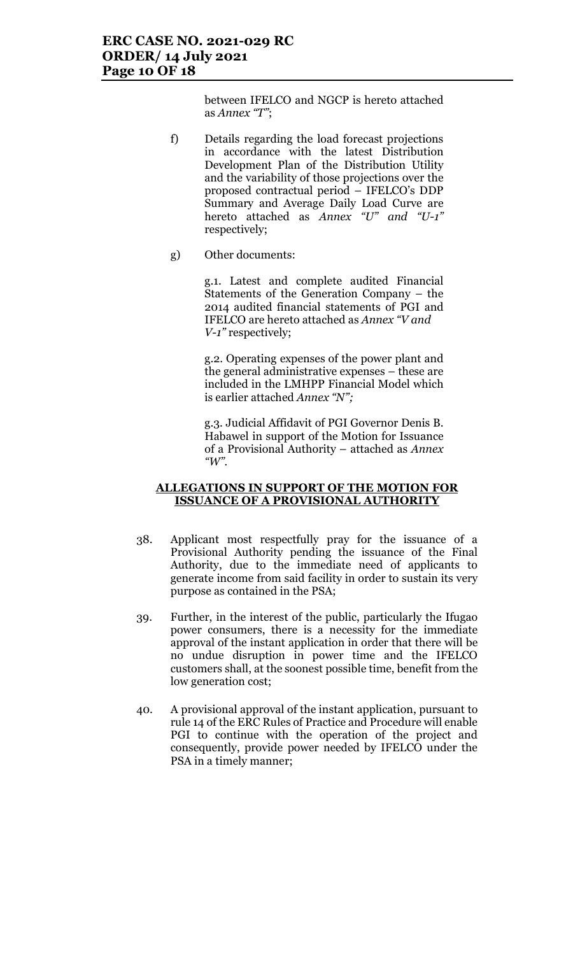# ERC CASE NO. 2021-029 RC ORDER/ 14 July 2021 Page 10 OF 18

between IFELCO and NGCP is hereto attached as Annex "T";

- f) Details regarding the load forecast projections in accordance with the latest Distribution Development Plan of the Distribution Utility and the variability of those projections over the proposed contractual period – IFELCO's DDP Summary and Average Daily Load Curve are hereto attached as *Annex* "U" and "U-1" respectively;
- g) Other documents:

g.1. Latest and complete audited Financial Statements of the Generation Company – the 2014 audited financial statements of PGI and IFELCO are hereto attached as Annex "V and V-1" respectively;

g.2. Operating expenses of the power plant and the general administrative expenses – these are included in the LMHPP Financial Model which is earlier attached Annex "N";

g.3. Judicial Affidavit of PGI Governor Denis B. Habawel in support of the Motion for Issuance of a Provisional Authority – attached as Annex "W".

### ALLEGATIONS IN SUPPORT OF THE MOTION FOR ISSUANCE OF A PROVISIONAL AUTHORITY

- 38. Applicant most respectfully pray for the issuance of a Provisional Authority pending the issuance of the Final Authority, due to the immediate need of applicants to generate income from said facility in order to sustain its very purpose as contained in the PSA;
- 39. Further, in the interest of the public, particularly the Ifugao power consumers, there is a necessity for the immediate approval of the instant application in order that there will be no undue disruption in power time and the IFELCO customers shall, at the soonest possible time, benefit from the low generation cost;
- 40. A provisional approval of the instant application, pursuant to rule 14 of the ERC Rules of Practice and Procedure will enable PGI to continue with the operation of the project and consequently, provide power needed by IFELCO under the PSA in a timely manner;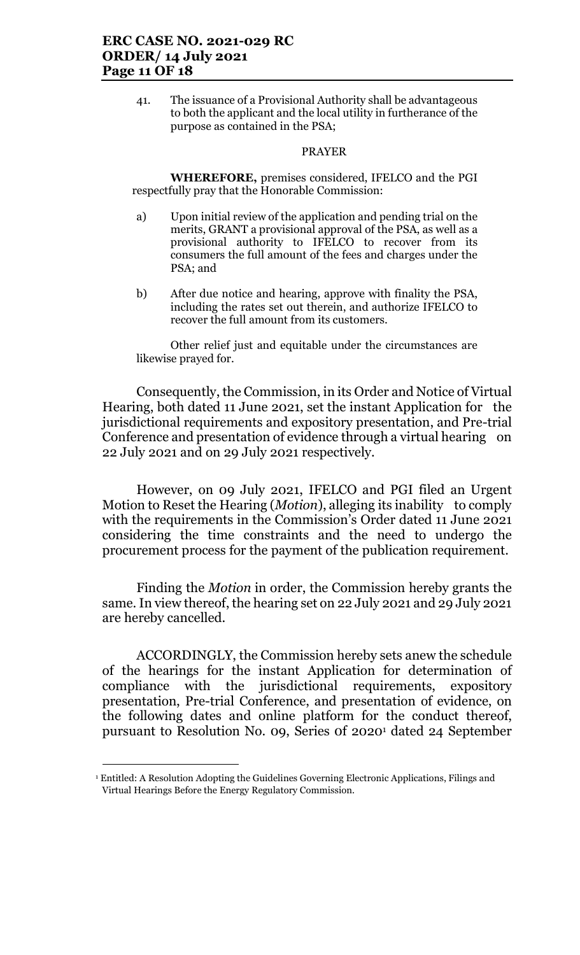41. The issuance of a Provisional Authority shall be advantageous to both the applicant and the local utility in furtherance of the purpose as contained in the PSA;

#### PRAYER

WHEREFORE, premises considered, IFELCO and the PGI respectfully pray that the Honorable Commission:

- a) Upon initial review of the application and pending trial on the merits, GRANT a provisional approval of the PSA, as well as a provisional authority to IFELCO to recover from its consumers the full amount of the fees and charges under the PSA; and
- b) After due notice and hearing, approve with finality the PSA, including the rates set out therein, and authorize IFELCO to recover the full amount from its customers.

Other relief just and equitable under the circumstances are likewise prayed for.

Consequently, the Commission, in its Order and Notice of Virtual Hearing, both dated 11 June 2021, set the instant Application for the jurisdictional requirements and expository presentation, and Pre-trial Conference and presentation of evidence through a virtual hearing on 22 July 2021 and on 29 July 2021 respectively.

However, on 09 July 2021, IFELCO and PGI filed an Urgent Motion to Reset the Hearing (*Motion*), alleging its inability to comply with the requirements in the Commission's Order dated 11 June 2021 considering the time constraints and the need to undergo the procurement process for the payment of the publication requirement.

Finding the Motion in order, the Commission hereby grants the same. In view thereof, the hearing set on 22 July 2021 and 29 July 2021 are hereby cancelled.

ACCORDINGLY, the Commission hereby sets anew the schedule of the hearings for the instant Application for determination of compliance with the jurisdictional requirements, expository presentation, Pre-trial Conference, and presentation of evidence, on the following dates and online platform for the conduct thereof, pursuant to Resolution No. 09, Series 0f 2020<sup>1</sup> dated 24 September

<sup>1</sup> Entitled: A Resolution Adopting the Guidelines Governing Electronic Applications, Filings and Virtual Hearings Before the Energy Regulatory Commission.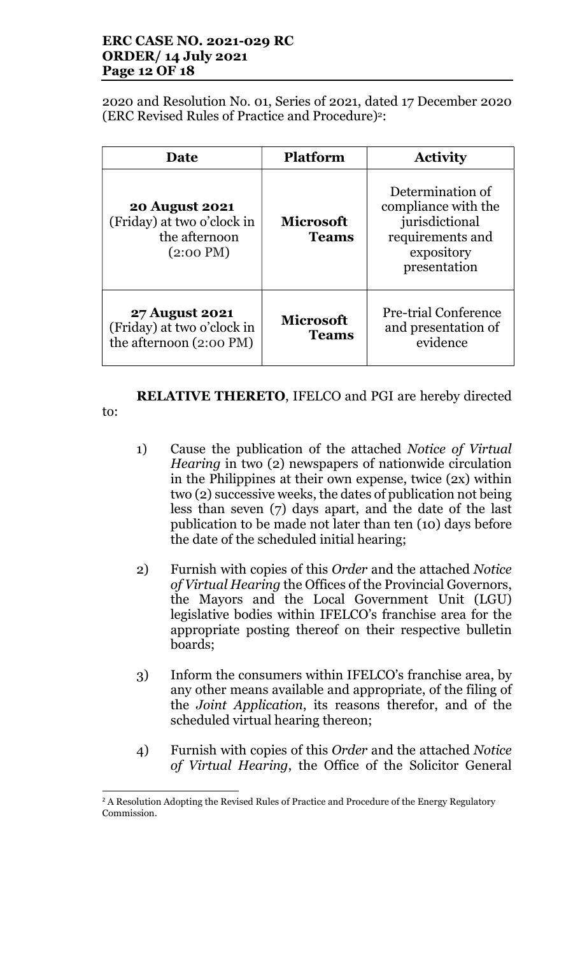# ERC CASE NO. 2021-029 RC ORDER/ 14 July 2021 Page 12 OF 18

2020 and Resolution No. 01, Series of 2021, dated 17 December 2020 (ERC Revised Rules of Practice and Procedure)2:

| <b>Date</b>                                                                                 | <b>Platform</b>                  | <b>Activity</b>                                                                                             |
|---------------------------------------------------------------------------------------------|----------------------------------|-------------------------------------------------------------------------------------------------------------|
| <b>20 August 2021</b><br>(Friday) at two o'clock in<br>the afternoon<br>$(2:00 \text{ PM})$ | <b>Microsoft</b><br><b>Teams</b> | Determination of<br>compliance with the<br>jurisdictional<br>requirements and<br>expository<br>presentation |
| <b>27 August 2021</b><br>(Friday) at two o'clock in<br>the afternoon (2:00 PM)              | <b>Microsoft</b><br><b>Teams</b> | Pre-trial Conference<br>and presentation of<br>evidence                                                     |

RELATIVE THERETO, IFELCO and PGI are hereby directed

to:

- 1) Cause the publication of the attached Notice of Virtual Hearing in two (2) newspapers of nationwide circulation in the Philippines at their own expense, twice (2x) within two (2) successive weeks, the dates of publication not being less than seven (7) days apart, and the date of the last publication to be made not later than ten (10) days before the date of the scheduled initial hearing;
- 2) Furnish with copies of this Order and the attached Notice of Virtual Hearing the Offices of the Provincial Governors, the Mayors and the Local Government Unit (LGU) legislative bodies within IFELCO's franchise area for the appropriate posting thereof on their respective bulletin boards;
- 3) Inform the consumers within IFELCO's franchise area, by any other means available and appropriate, of the filing of the Joint Application, its reasons therefor, and of the scheduled virtual hearing thereon;
- 4) Furnish with copies of this Order and the attached Notice of Virtual Hearing, the Office of the Solicitor General

 $\overline{a}$ <sup>2</sup> A Resolution Adopting the Revised Rules of Practice and Procedure of the Energy Regulatory Commission.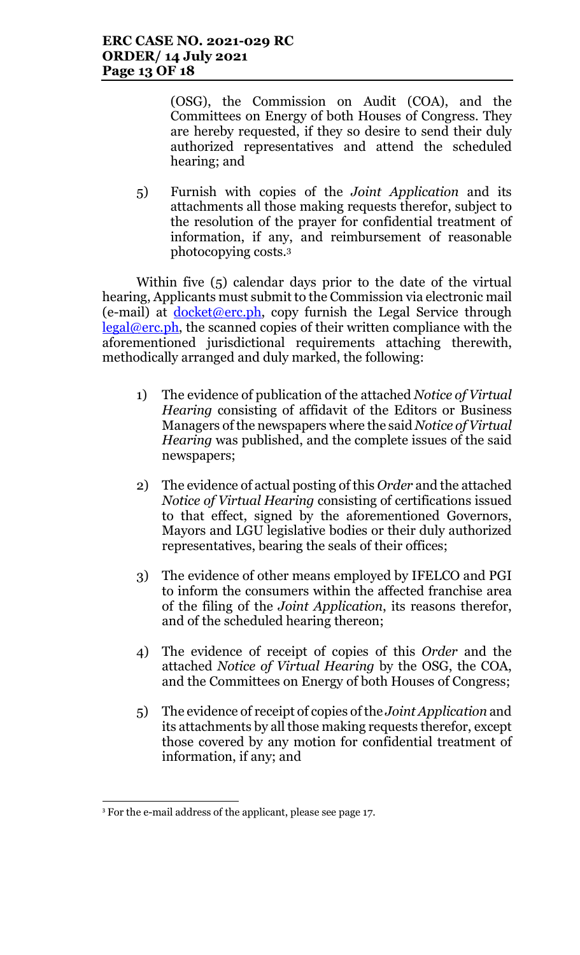(OSG), the Commission on Audit (COA), and the Committees on Energy of both Houses of Congress. They are hereby requested, if they so desire to send their duly authorized representatives and attend the scheduled hearing; and

5) Furnish with copies of the Joint Application and its attachments all those making requests therefor, subject to the resolution of the prayer for confidential treatment of information, if any, and reimbursement of reasonable photocopying costs.<sup>3</sup>

Within five (5) calendar days prior to the date of the virtual hearing, Applicants must submit to the Commission via electronic mail (e-mail) at  $\frac{\text{docket@erc.ph}}{\text{do}$ , copy furnish the Legal Service through  $legal@erc.ph$ , the scanned copies of their written compliance with the aforementioned jurisdictional requirements attaching therewith, methodically arranged and duly marked, the following:

- 1) The evidence of publication of the attached Notice of Virtual Hearing consisting of affidavit of the Editors or Business Managers of the newspapers where the said Notice of Virtual Hearing was published, and the complete issues of the said newspapers;
- 2) The evidence of actual posting of this Order and the attached Notice of Virtual Hearing consisting of certifications issued to that effect, signed by the aforementioned Governors, Mayors and LGU legislative bodies or their duly authorized representatives, bearing the seals of their offices;
- 3) The evidence of other means employed by IFELCO and PGI to inform the consumers within the affected franchise area of the filing of the Joint Application, its reasons therefor, and of the scheduled hearing thereon;
- 4) The evidence of receipt of copies of this Order and the attached Notice of Virtual Hearing by the OSG, the COA, and the Committees on Energy of both Houses of Congress;
- 5) The evidence of receipt of copies of the Joint Application and its attachments by all those making requests therefor, except those covered by any motion for confidential treatment of information, if any; and

 $\overline{a}$ <sup>3</sup> For the e-mail address of the applicant, please see page 17.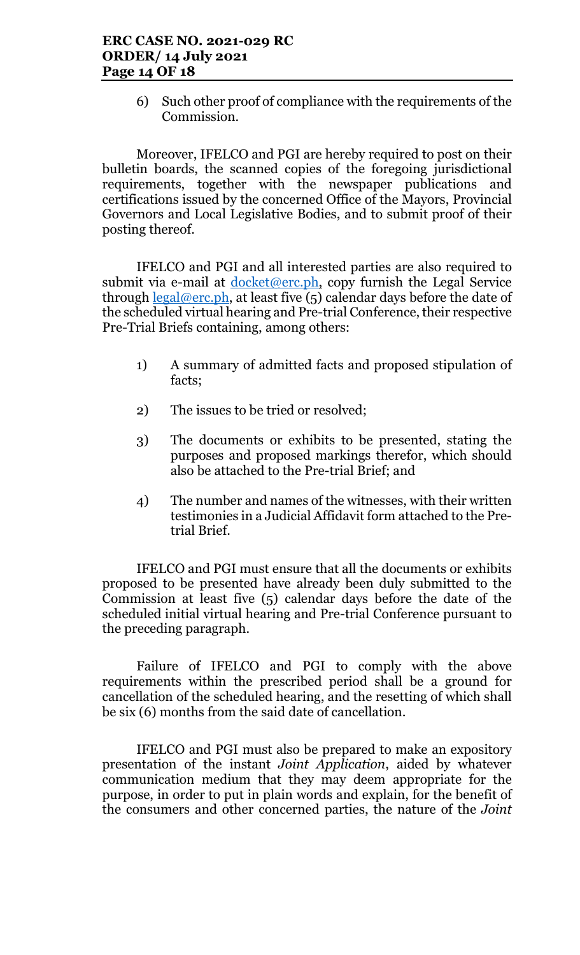6) Such other proof of compliance with the requirements of the Commission.

Moreover, IFELCO and PGI are hereby required to post on their bulletin boards, the scanned copies of the foregoing jurisdictional requirements, together with the newspaper publications and certifications issued by the concerned Office of the Mayors, Provincial Governors and Local Legislative Bodies, and to submit proof of their posting thereof.

IFELCO and PGI and all interested parties are also required to submit via e-mail at  $d$ ocket@erc.ph, copy furnish the Legal Service through  $\frac{\text{legal@erc.ph}}{\text{total@erc.ph}}$ , at least five (5) calendar days before the date of the scheduled virtual hearing and Pre-trial Conference, their respective Pre-Trial Briefs containing, among others:

- 1) A summary of admitted facts and proposed stipulation of facts;
- 2) The issues to be tried or resolved;
- 3) The documents or exhibits to be presented, stating the purposes and proposed markings therefor, which should also be attached to the Pre-trial Brief; and
- 4) The number and names of the witnesses, with their written testimonies in a Judicial Affidavit form attached to the Pretrial Brief.

IFELCO and PGI must ensure that all the documents or exhibits proposed to be presented have already been duly submitted to the Commission at least five (5) calendar days before the date of the scheduled initial virtual hearing and Pre-trial Conference pursuant to the preceding paragraph.

Failure of IFELCO and PGI to comply with the above requirements within the prescribed period shall be a ground for cancellation of the scheduled hearing, and the resetting of which shall be six (6) months from the said date of cancellation.

IFELCO and PGI must also be prepared to make an expository presentation of the instant Joint Application, aided by whatever communication medium that they may deem appropriate for the purpose, in order to put in plain words and explain, for the benefit of the consumers and other concerned parties, the nature of the Joint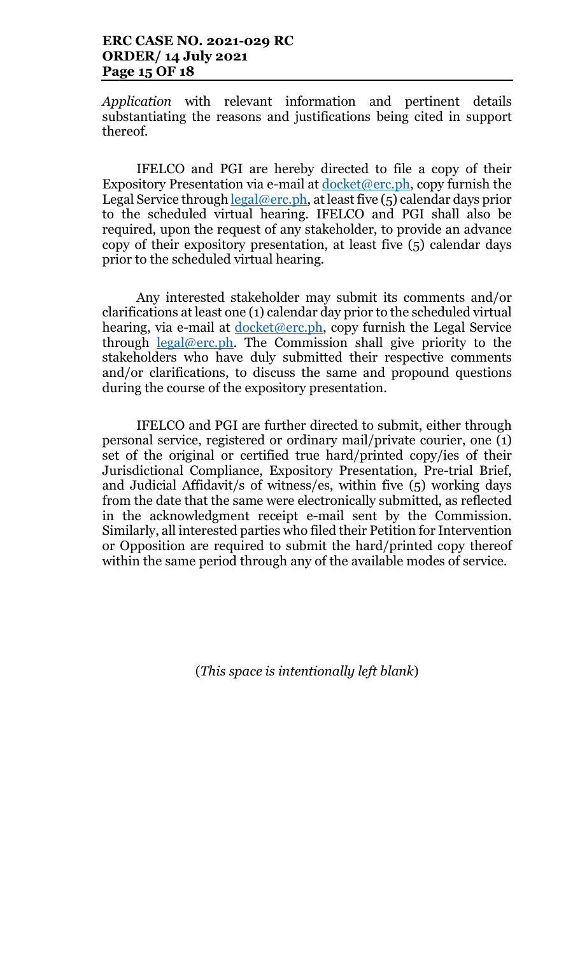# ERC CASE NO. 2021-029 RC ORDER/ 14 July 2021 Page 15 OF 18

Application with relevant information and pertinent details substantiating the reasons and justifications being cited in support thereof.

IFELCO and PGI are hereby directed to file a copy of their Expository Presentation via e-mail at  $d$ ocket@erc.ph, copy furnish the Legal Service through  $\text{legal@erc.ph.}$  at least five (5) calendar days prior to the scheduled virtual hearing. IFELCO and PGI shall also be required, upon the request of any stakeholder, to provide an advance copy of their expository presentation, at least five (5) calendar days prior to the scheduled virtual hearing.

Any interested stakeholder may submit its comments and/or clarifications at least one (1) calendar day prior to the scheduled virtual hearing, via e-mail at docket@erc.ph, copy furnish the Legal Service through  $\frac{\text{legal@erc.ph.}}{\text{The Commission shall give priority to the}}$ stakeholders who have duly submitted their respective comments and/or clarifications, to discuss the same and propound questions during the course of the expository presentation.

IFELCO and PGI are further directed to submit, either through personal service, registered or ordinary mail/private courier, one (1) set of the original or certified true hard/printed copy/ies of their Jurisdictional Compliance, Expository Presentation, Pre-trial Brief, and Judicial Affidavit/s of witness/es, within five (5) working days from the date that the same were electronically submitted, as reflected in the acknowledgment receipt e-mail sent by the Commission. Similarly, all interested parties who filed their Petition for Intervention or Opposition are required to submit the hard/printed copy thereof within the same period through any of the available modes of service.

(This space is intentionally left blank)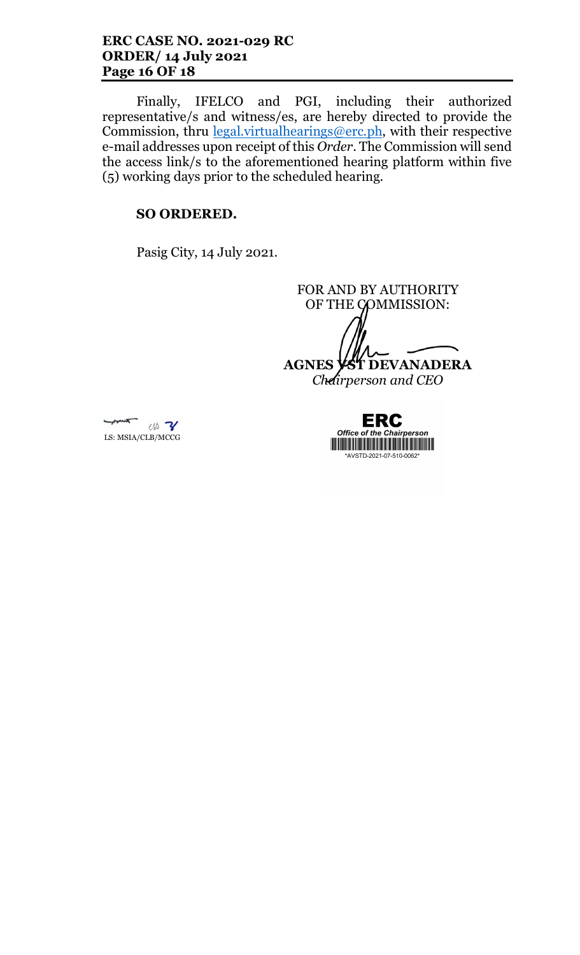# ERC CASE NO. 2021-029 RC ORDER/ 14 July 2021 Page 16 OF 18

Finally, IFELCO and PGI, including their authorized representative/s and witness/es, are hereby directed to provide the Commission, thru  $\frac{\text{legal.virtualhearings@erc.ph}}{\text{length}}$ , with their respective e-mail addresses upon receipt of this Order. The Commission will send the access link/s to the aforementioned hearing platform within five (5) working days prior to the scheduled hearing.

# SO ORDERED.

Pasig City, 14 July 2021.

FOR AND BY AUTHORITY OF THE COMMISSION:

AGNES **VST** DEVANADERA

Chairperson and CEO



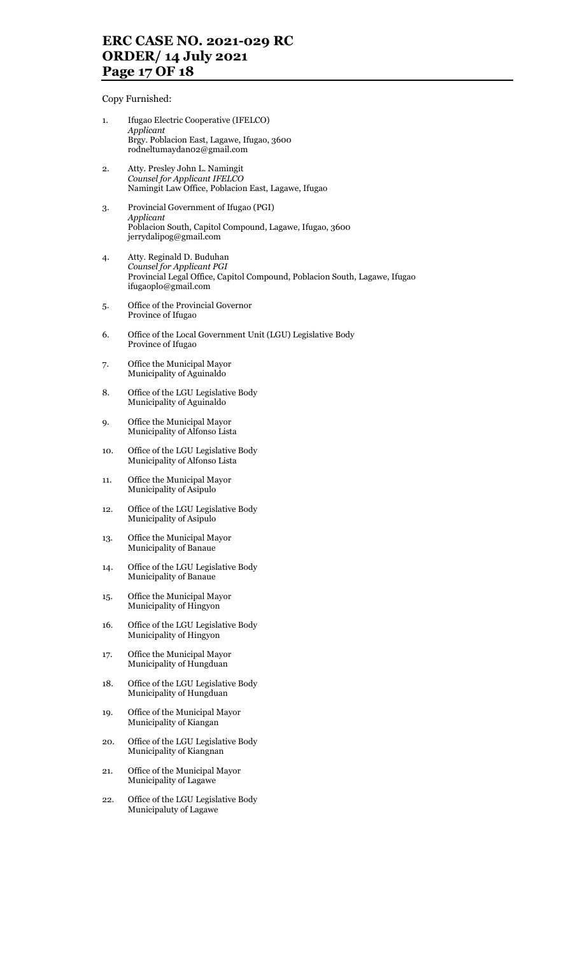# ERC CASE NO. 2021-029 RC ORDER/ 14 July 2021 Page 17 OF 18

Copy Furnished:

1. Ifugao Electric Cooperative (IFELCO) Applicant Brgy. Poblacion East, Lagawe, Ifugao, 3600 rodneltumaydan02@gmail.com 2. Atty. Presley John L. Namingit Counsel for Applicant IFELCO Namingit Law Office, Poblacion East, Lagawe, Ifugao 3. Provincial Government of Ifugao (PGI) Applicant Poblacion South, Capitol Compound, Lagawe, Ifugao, 3600 jerrydalipog@gmail.com 4. Atty. Reginald D. Buduhan Counsel for Applicant PGI Provincial Legal Office, Capitol Compound, Poblacion South, Lagawe, Ifugao ifugaoplo@gmail.com 5. Office of the Provincial Governor Province of Ifugao 6. Office of the Local Government Unit (LGU) Legislative Body Province of Ifugao 7. Office the Municipal Mayor Municipality of Aguinaldo 8. Office of the LGU Legislative Body Municipality of Aguinaldo 9. Office the Municipal Mayor Municipality of Alfonso Lista 10. Office of the LGU Legislative Body Municipality of Alfonso Lista 11. Office the Municipal Mayor Municipality of Asipulo 12. Office of the LGU Legislative Body Municipality of Asipulo 13. Office the Municipal Mayor Municipality of Banaue 14. Office of the LGU Legislative Body Municipality of Banaue 15. Office the Municipal Mayor Municipality of Hingyon 16. Office of the LGU Legislative Body Municipality of Hingyon 17. Office the Municipal Mayor Municipality of Hungduan 18. Office of the LGU Legislative Body Municipality of Hungduan 19. Office of the Municipal Mayor Municipality of Kiangan 20. Office of the LGU Legislative Body Municipality of Kiangnan 21. Office of the Municipal Mayor Municipality of Lagawe 22. Office of the LGU Legislative Body Municipaluty of Lagawe